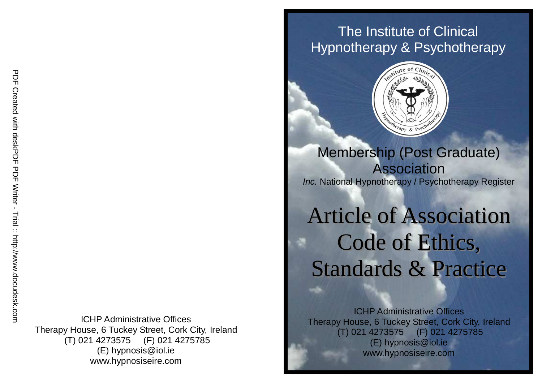

Membership (Post Graduate) Association Inc. National Hypnotherapy / Psychotherapy Register

# Article of AssociationCode of Ethics, Standards & Practice

ICHP Administrative Offices Therapy House, 6 Tuckey Street, Cork City, Ireland (T) 021 4273575 (F) 021 4275785 (E) hypnosis@iol.ie www.hypnosiseire.com

ICHP Administrative Offices Therapy House, 6 Tuckey Street, Cork City, Ireland (T) 021 4273575 (F) 021 4275785 (E) hypnosis@iol.ie www.hypnosiseire.com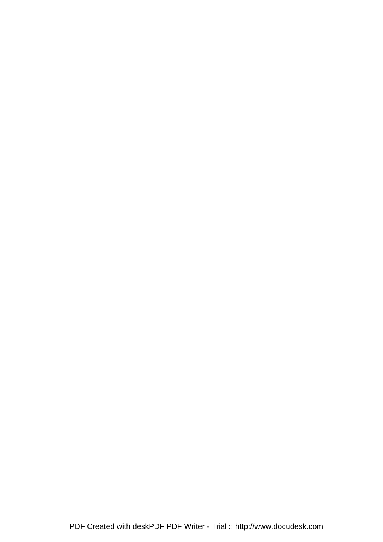PDF Created with deskPDF PDF Writer - Trial :: http://www.docudesk.com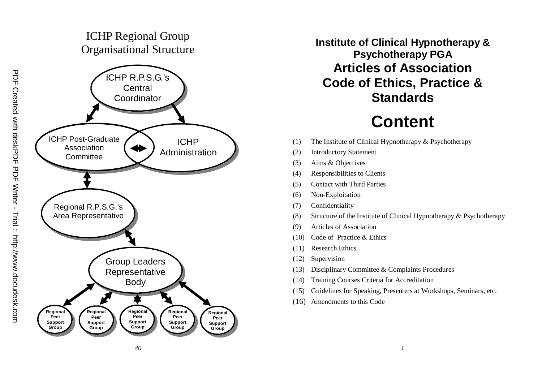## ICHP Regional Group Organisational Structure



**Institute of Clinical Hypnotherapy & Psychotherapy PGA Articles of Association Code of Ethics, Practice & Standards**

# **Content**

- (1) The Institute of Clinical Hypnotherapy & Psychotherapy
- (2) Introductory Statement
- (3) Aims & Objectives
- (4) Responsibilities to Clients
- (5) Contact with Third Parties
- (6) Non-Exploitation
- (7) Confidentiality
- (8) Structure of the Institute of Clinical Hypnotherapy & Psychotherapy
- (9) Articles of Association
- (10) Code of Practice & Ethics
- (11) Research Ethics
- (12) Supervision
- (13) Disciplinary Committee & Complaints Procedures
- (14) Training Courses Criteria for Accreditation
- (15) Guidelines for Speaking, Presenters at Workshops, Seminars, etc.
- (16) Amendments to this Code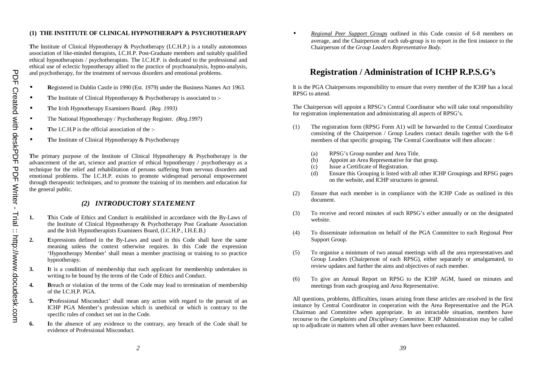## **(1) THE INSTITUTE OF CLINICAL HYPNOTHERAPY & PSYCHOTHERAPY**

**T**he Institute of Clinical Hypnotherapy & Psychotherapy (I.C.H.P.) is a totally autonomous association of like-minded therapists, I.C.H.P. Post-Graduate members and suitably qualified ethical hypnotherapists / psychotherapists. The I.C.H.P. is dedicated to the professional and ethical use of eclectic hypnotherapy allied to the practice of psychoanalysis, hypno-analysis, and psychotherapy, for the treatment of nervous disorders and emotional problems.

•

- **<sup>R</sup>**egistered in Dublin Castle in 1990 (Est. 1979) under the Business Names Act 1963.
- •**The Institute of Clinical Hypnotherapy & Psychotherapy is associated to :-**
- **<sup>T</sup>**he Irish Hypnotherapy Examiners Board. *(Reg. 1993)*
- The National Hypnotherapy / Psychotherapy Register. *(Reg.1997)*
- •The I.C.H.P is the official association of the :-
- •**<sup>T</sup>**he Institute of Clinical Hypnotherapy & Psychotherapy

**T**he primary purpose of the Institute of Clinical Hypnotherapy & Psychotherapy is the advancement of the art, science and practice of ethical hypnotherapy / psychotherapy as a technique for the relief and rehabilitation of persons suffering from nervous disorders and emotional problems. The I.C.H.P. exists to promote widespread personal empowerment through therapeutic techniques, and to promote the training of its members and education for the general public.

## *(2) INTRODUCTORY STATEMENT*

- **1. T**his Code of Ethics and Conduct is established in accordance with the By-Laws of the Institute of Clinical Hypnotherapy & Psychotherapy Post Graduate Association and the Irish Hypnotherapists Examiners Board, (I.C.H.P., I.H.E.B.)
- **2. E**xpressions defined in the By-Laws and used in this Code shall have the same meaning unless the context otherwise requires. In this Code the expression 'Hypnotherapy Member' shall mean a member practising or training to so practice hypnotherapy.
- **3. I**t is a condition of membership that each applicant for membership undertakes in writing to be bound by the terms of the Code of Ethics and Conduct.
- **4. B**reach or violation of the terms of the Code may lead to termination of membership of the I.C.H.P. PGA.
- **5. 'P**rofessional Misconduct' shall mean any action with regard to the pursuit of an ICHP PGA Member's profession which is unethical or which is contrary to the specific rules of conduct set out in the Code.
- **6. I**n the absence of any evidence to the contrary, any breach of the Code shall be evidence of Professional Misconduct.

• *Regional Peer Support Groups* outlined in this Code consist of 6-8 members on average, and the Chairperson of each sub-group is to report in the first instance to the Chairperson of the *Group Leaders Representative Body.*

## **Registration / Administration of ICHP R.P.S.G's**

It is the PGA Chairpersons responsibility to ensure that every member of the ICHP has a local RPSG to attend.

The Chairperson will appoint a RPSG's Central Coordinator who will take total responsibility for registration implementation and administrating all aspects of RPSG's.

- (1) The registration form (RPSG Form A1) will be forwarded to the Central Coordinator consisting of the Chairperson / Group Leaders contact details together with the 6-8 members of that specific grouping. The Central Coordinator will then allocate :
	- (a) RPSG's Group number and Area Title.
	- (b) Appoint an Area Representative for that group.
	- (c) Issue a Certificate of Registration.
	- (d) Ensure this Grouping is listed with all other ICHP Groupings and RPSG pages on the website, and ICHP structures in general.
- (2) Ensure that each member is in compliance with the ICHP Code as outlined in this document.
- (3) To receive and record minutes of each RPSG's either annually or on the designated website.
- (4) To disseminate information on behalf of the PGA Committee to each Regional Peer Support Group.
- (5) To organise a minimum of two annual meetings with all the area representatives and Group Leaders (Chairperson of each RPSG), either separately or amalgamated, to review updates and further the aims and objectives of each member.
- (6) To give an Annual Report on RPSG to the ICHP AGM, based on minutes and meetings from each grouping and Area Representative.

All questions, problems, difficulties, issues arising from these articles are resolved in the first instance by Central Coordinator in cooperation with the Area Representative and the PGA Chairman and Committee when appropriate. In an intractable situation, members have recourse to the *Complaints and Disciplinary Committee*. ICHP Administration may be called up to adjudicate in matters when all other avenues have been exhausted.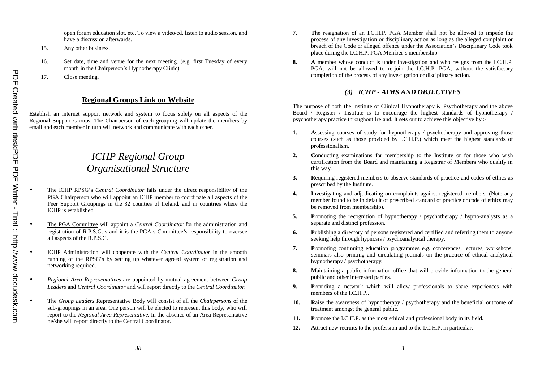open forum education slot, etc. To view a video/cd, listen to audio session, and have a discussion afterwards.

- 15. Any other business.
- 16. Set date, time and venue for the next meeting. (e.g. first Tuesday of every month in the Chairperson's Hypnotherapy Clinic)
- 17. Close meeting.

## **Regional Groups Link on Website**

Establish an internet support network and system to focus solely on all aspects of the Regional Support Groups. The Chairperson of each grouping will update the members by email and each member in turn will network and communicate with each other.

## *ICHP Regional Group Organisational Structure*

- The ICHP RPSG's *Central Coordinator* falls under the direct responsibility of the PGA Chairperson who will appoint an ICHP member to coordinate all aspects of the Peer Support Groupings in the 32 counties of Ireland, and in countries where the ICHP is established.
- The PGA Committee will appoint a *Central Coordinator* for the administration and registration of R.P.S.G.'s and it is the PGA's Committee's responsibility to oversee all aspects of the R.P.S.G.
- ICHP Administration will cooperate with the *Central Coordinator* in the smooth running of the RPSG's by setting up whatever agreed system of registration and networking required.
- *Regional Area Representatives* are appointed by mutual agreement between *Group Leaders* and *Central Coordinator* and will report directly to the *Central Coordinator.*
- The *Group Leaders* Representative Body will consist of all the *Chairpersons* of the sub-groupings in an area. One person will be elected to represent this body, who will report to the *Regional Area Representative.* In the absence of an Area Representative he/she will report directly to the Central Coordinator.
- **7. T**he resignation of an I.C.H.P. PGA Member shall not be allowed to impede the process of any investigation or disciplinary action as long as the alleged complaint or breach of the Code or alleged offence under the Association's Disciplinary Code took place during the I.C.H.P. PGA Member's membership.
- **8. A** member whose conduct is under investigation and who resigns from the I.C.H.P. PGA, will not be allowed to re-join the I.C.H.P. PGA, without the satisfactory completion of the process of any investigation or disciplinary action.

## *(3) ICHP - AIMS AND OBJECTIVES*

**T**he purpose of both the Institute of Clinical Hypnotherapy & Psychotherapy and the above Board / Register / Institute is to encourage the highest standards of hypnotherapy / psychotherapy practice throughout Ireland. It sets out to achieve this objective by :-

- **1. A**ssessing courses of study for hypnotherapy / psychotherapy and approving those courses (such as those provided by I.C.H.P.) which meet the highest standards of professionalism.
- **2. C**onducting examinations for membership to the Institute or for those who wish certification from the Board and maintaining a Registrar of Members who qualify in this way.
- **3. R**equiring registered members to observe standards of practice and codes of ethics as prescribed by the Institute.
- **4. I**nvestigating and adjudicating on complaints against registered members. (Note any member found to be in default of prescribed standard of practice or code of ethics may be removed from membership).
- **5. P**romoting the recognition of hypnotherapy / psychotherapy / hypno-analysts as a separate and distinct profession.
- **6. P**ublishing a directory of persons registered and certified and referring them to anyone seeking help through hypnosis / psychoanalytical therapy.
- **7. P**romoting continuing education programmes e.g. conferences, lectures, workshops, seminars also printing and circulating journals on the practice of ethical analytical hypnotherapy / psychotherapy.
- **8. M**aintaining a public information office that will provide information to the general public and other interested parties.
- **9. P**roviding a network which will allow professionals to share experiences with members of the I.C.H.P..
- **10.** Raise the awareness of hypnotherapy / psychotherapy and the beneficial outcome of treatment amongst the general public.
- **11. P**romote the I.C.H.P. as the most ethical and professional body in its field.
- **12. A**ttract new recruits to the profession and to the I.C.H.P. in particular.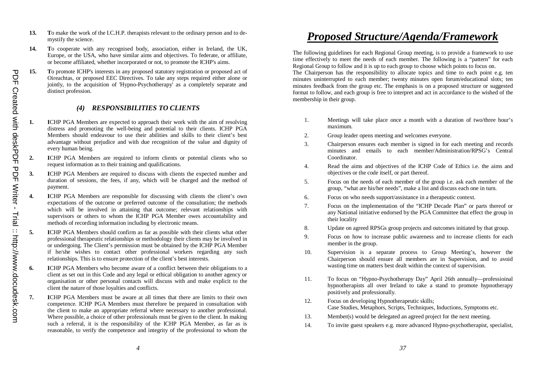- **13. T**o make the work of the I.C.H.P. therapists relevant to the ordinary person and to demystify the science.
- **14. T**o cooperate with any recognised body, association, either in Ireland, the UK, Europe, or the USA, who have similar aims and objectives. To federate, or affiliate, or become affiliated, whether incorporated or not, to promote the ICHP's aims.
- **15. T**o promote ICHP's interests in any proposed statutory registration or proposed act of Oireachtas, or proposed EEC Directives. To take any steps required either alone or jointly, to the acquisition of 'Hypno-Psychotherapy' as a completely separate and distinct profession.

## *(4) RESPONSIBILITIES TO CLIENTS*

- **1. I**CHP PGA Members are expected to approach their work with the aim of resolving distress and promoting the well-being and potential to their clients. ICHP PGA Members should endeavour to use their abilities and skills to their client's best advantage without prejudice and with due recognition of the value and dignity of every human being.
- **2. I**CHP PGA Members are required to inform clients or potential clients who so request information as to their training and qualifications.
- **3. I**CHP PGA Members are required to discuss with clients the expected number and duration of sessions, the fees, if any, which will be charged and the method of payment.
- **4. I**CHP PGA Members are responsible for discussing with clients the client's own expectations of the outcome or preferred outcome of the consultation; the methods which will be involved in attaining that outcome; relevant relationships with supervisors or others to whom the ICHP PGA Member owes accountability and methods of recording information including by electronic means.
- **5. I**CHP PGA Members should confirm as far as possible with their clients what other professional therapeutic relationships or methodology their clients may be involved in or undergoing. The Client's permission must be obtained by the ICHP PGA Member if he/she wishes to contact other professional workers regarding any such relationships. This is to ensure protection of the client's best interests.
- **6. I**CHP PGA Members who become aware of a conflict between their obligations to a client as set out in this Code and any legal or ethical obligation to another agency or organisation or other personal contacts will discuss with and make explicit to the client the nature of those loyalties and conflicts.
- **7. I**CHP PGA Members must be aware at all times that there are limits to their own competence. ICHP PGA Members must therefore be prepared in consultation with the client to make an appropriate referral where necessary to another professional. Where possible, a choice of other professionals must be given to the client. In making such a referral, it is the responsibility of the ICHP PGA Member, as far as is reasonable, to verify the competence and integrity of the professional to whom the

# *Proposed Structure/Agenda/Framework*

The following guidelines for each Regional Group meeting, is to provide a framework to use time effectively to meet the needs of each member. The following is a "pattern" for each Regional Group to follow and it is up to each group to choose which points to focus on. The Chairperson has the responsibility to allocate topics and time to each point e.g. ten minutes uninterrupted to each member; twenty minutes open forum/educational slots; ten minutes feedback from the group etc. The emphasis is on a proposed structure or suggested format to follow, and each group is free to interpret and act in accordance to the wished of the membership in their group.

- 1. Meetings will take place once a month with a duration of two/three hour's maximum.
- 2. Group leader opens meeting and welcomes everyone.
- 3. Chairperson ensures each member is signed in for each meeting and records minutes and emails to each member/Administration/RPSG's Central Coordinator.
- 4. Read the aims and objectives of the ICHP Code of Ethics i.e. the aims and objectives or the code itself, or part thereof.
- 5. Focus on the needs of each member of the group i.e. ask each member of the group, "what are his/her needs", make a list and discuss each one in turn.
- 6. Focus on who needs support/assistance in a therapeutic context.
- 7. Focus on the implementation of the "ICHP Decade Plan" or parts thereof or any National initiative endorsed by the PGA Committee that effect the group in their locality
- 8. Update on agreed RPSGs group projects and outcomes initiated by that group.
- 9. Focus on how to increase public awareness and to increase clients for each member in the group.
- 10. Supervision is a separate process to Group Meeting's, however the Chairperson should ensure all members are in Supervision, and to avoid wasting time on matters best dealt within the context of supervision.
- 11. To focus on "Hypno-Psychotherapy Day" April 26th annually—professioinal hypnotherapists all over Ireland to take a stand to promote hypnotherapy positively and professionally.
- 12. Focus on developing Hypnotherapeutic skills; Case Studies, Metaphors, Scripts, Techniques, Inductions, Symptoms etc.
- 13. Member(s) would be delegated an agreed project for the next meeting.
- 14. To invite guest speakers e.g. more advanced Hypno-psychotherapist, specialist,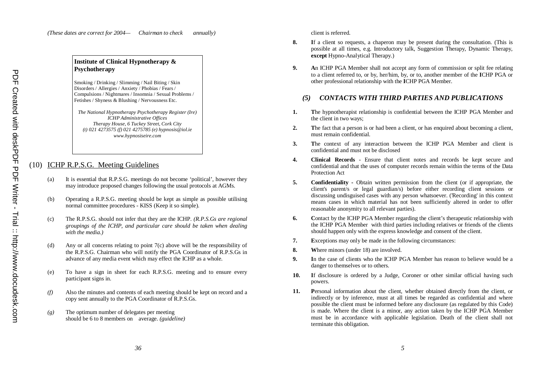## **Institute of Clinical Hypnotherapy & Psychotherapy**

Smoking / Drinking / Slimming / Nail Biting / Skin Disorders / Allergies / Anxiety / Phobias / Fears / Compulsions / Nightmares / Insomnia / Sexual Problems / Fetishes / Shyness & Blushing / Nervousness Etc.

*The National Hypnotherapy Psychotherapy Register (Ire) ICHP Administrative Offices Therapy House, 6 Tuckey Street, Cork City (t) 021 4273575 (f) 021 4275785 (e) hypnosis@iol.iewww.hypnosiseire.com*

## (10) ICHP R.P.S.G. Meeting Guidelines

- (a) It is essential that R.P.S.G. meetings do not become 'political', however they may introduce proposed changes following the usual protocols at AGMs.
- (b) Operating a R.P.S.G. meeting should be kept as simple as possible utilising normal committee procedures - KISS (Keep it so simple).
- (c) The R.P.S.G. should not infer that they are the ICHP. *(R.P.S.Gs are regional groupings of the ICHP, and particular care should be taken when dealing with the media.)*
- (d) Any or all concerns relating to point 7(c) above will be the responsibility of the R.P.S.G. Chairman who will notify the PGA Coordinator of R.P.S.Gs in advance of any media event which may effect the ICHP as a whole.
- (e) To have a sign in sheet for each R.P.S.G. meeting and to ensure every participant signs in.
- *(f)* Also the minutes and contents of each meeting should be kept on record and a copy sent annually to the PGA Coordinator of R.P.S.Gs.
- *(g)* The optimum number of delegates per meeting should be 6 to 8 members on average. *(guideline)*

client is referred.

- **8. I**f a client so requests, a chaperon may be present during the consultation. (This is possible at all times, e.g. Introductory talk, Suggestion Therapy, Dynamic Therapy, **except** Hypno-Analytical Therapy.)
- **9. A**n ICHP PGA Member shall not accept any form of commission or split fee relating to a client referred to, or by, her/him, by, or to, another member of the **I**CHP PGA or other professional relationship with the **I**CHP PGA Member.

## *(5) CONTACTS WITH THIRD PARTIES AND PUBLICATIONS*

- **1. T**he hypnotherapist relationship is confidential between the ICHP PGA Member and the client in two ways;
- **2. T**he fact that a person is or had been a client, or has enquired about becoming a client, must remain confidential.
- **3. T**he context of any interaction between the ICHP PGA Member and client is confidential and must not be disclosed
- **4. Clinical Records** Ensure that client notes and records be kept secure and confidential and that the uses of computer records remain within the terms of the Data Protection Act
- **5. Confidentiality** Obtain written permission from the client (or if appropriate, the client's parent/s or legal guardian/s) before either recording client sessions or discussing undisguised cases with any person whatsoever. ('Recording' in this context means cases in which material has not been sufficiently altered in order to offer reasonable anonymity to all relevant parties).
- **6.** Contact by the ICHP PGA Member regarding the client's therapeutic relationship with the ICHP PGA Member with third parties including relatives or friends of the clients should happen only with the express knowledge and consent of the client.
- **7. E**xceptions may only be made in the following circumstances:
- **8. W**here minors (under 18) are involved.
- **9. I**n the case of clients who the ICHP PGA Member has reason to believe would be a danger to themselves or to others.
- 10. If disclosure is ordered by a Judge, Coroner or other similar official having such powers.
- **11. P**ersonal information about the client, whether obtained directly from the client, or indirectly or by inference, must at all times be regarded as confidential and where possible the client must be informed before any disclosure (as regulated by this Code) is made. Where the client is a minor, any action taken by the ICHP PGA Member must be in accordance with applicable legislation. Death of the client shall not terminate this obligation.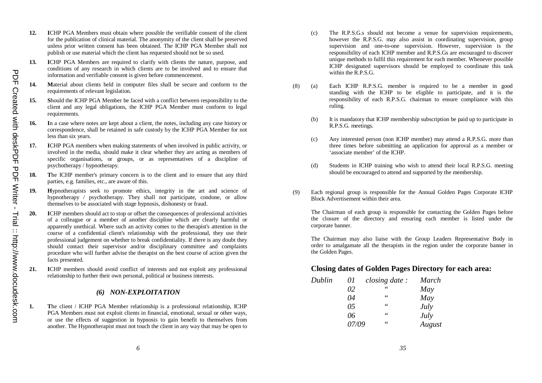- **12. I**CHP PGA Members must obtain where possible the verifiable consent of the client for the publication of clinical material. The anonymity of the client shall be preserved unless prior written consent has been obtained. The ICHP PGA Member shall not publish or use material which the client has requested should not be so used.
- **13. I**CHP PGA Members are required to clarify with clients the nature, purpose, and conditions of any research in which clients are to be involved and to ensure that information and verifiable consent is given before commencement.
- **14. M**aterial about clients held in computer files shall be secure and conform to the requirements of relevant legislation.
- **15. S**hould the ICHP PGA Member be faced with a conflict between responsibility to the client and any legal obligations, the ICHP PGA Member must conform to legal requirements.
- **16. I**n a case where notes are kept about a client, the notes, including any case history or correspondence, shall be retained in safe custody by the ICHP PGA Member for not less than six years.
- **17. I**CHP PGA members when making statements of when involved in public activity, or involved in the media, should make it clear whether they are acting as members of specific organisations, or groups, or as representatives of a discipline of psychotherapy / hypnotherapy.
- **18. T**he ICHP member's primary concern is to the client and to ensure that any third parties, e.g. families, etc., are aware of this.
- **19. H**ypnotherapists seek to promote ethics, integrity in the art and science of hypnotherapy / psychotherapy. They shall not participate, condone, or allow themselves to be associated with stage hypnosis, dishonesty or fraud.
- **20. I**CHP members should act to stop or offset the consequences of professional activities of a colleague or a member of another discipline which are clearly harmful or apparently unethical. Where such an activity comes to the therapist's attention in the course of a confidential client's relationship with the professional, they use their professional judgement on whether to break confidentiality. If there is any doubt they should contact their supervisor and/or disciplinary committee and complaints procedure who will further advise the therapist on the best course of action given the facts presented.
- **21. I**CHP members should avoid conflict of interests and not exploit any professional relationship to further their own personal, political or business interests.

## *(6) NON-EXPLOITATION*

**1. T**he client / ICHP PGA Member relationship is a professional relationship, ICHP PGA Members must not exploit clients in financial, emotional, sexual or other ways, or use the effects of suggestion in hypnosis to gain benefit to themselves from another. The Hypnotherapist must not touch the client in any way that may be open to

- (c) The R.P.S.G.s should not become a venue for supervision requirements, however the R.P.S.G. may also assist in coordinating supervision, group supervision and one-to-one supervision. However, supervision is the responsibility of each ICHP member and R.P.S.Gs are encouraged to discover unique methods to fulfil this requirement for each member. Whenever possible ICHP designated supervisors should be employed to coordinate this task within the R.P.S.G.
- (8) (a) Each ICHP R.P.S.G. member is required to be a member in good standing with the ICHP to be eligible to participate, and it is the responsibility of each R.P.S.G. chairman to ensure compliance with this ruling.
	- (b) It is mandatory that ICHP membership subscription be paid up to participate in R.P.S.G. meetings.
	- (c) Any interested person (non ICHP member) may attend a R.P.S.G. more than three times before submitting an application for approval as a member or 'associate member' of the ICHP.
	- (d) Students in ICHP training who wish to attend their local R.P.S.G. meeting should be encouraged to attend and supported by the membership.
- (9) Each regional group is responsible for the Annual Golden Pages Corporate ICHP Block Advertisement within their area.

 The Chairman of each group is responsible for contacting the Golden Pages before the closure of the directory and ensuring each member is listed under the corporate banner.

 The Chairman may also liaise with the Group Leaders Representative Body in order to amalgamate all the therapists in the region under the corporate banner in the Golden Pages.

## **Closing dates of Golden Pages Directory for each area:**

| Dublin | 01    | closing date: | <b>March</b> |
|--------|-------|---------------|--------------|
|        | 02    | "             | May          |
|        | 04    | "             | May          |
|        | 05    | "             | July         |
|        | 06    | 66            | July         |
|        | 07/09 | 66            | August       |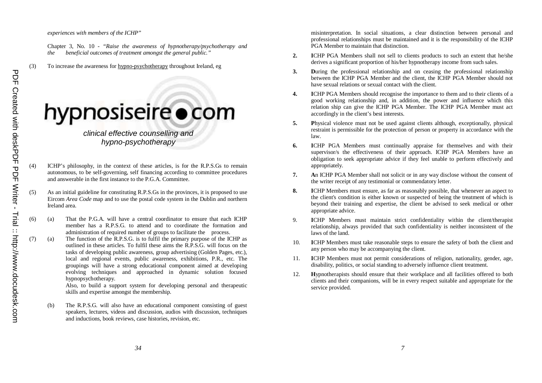Chapter 3, No. 10 - *"Raise the awareness of hypnotherapy/psychotherapy and the beneficial outcomes of treatment amongst the general public."*

(3) To increase the awareness for hypno-psychotherapy throughout Ireland, eg

# hypnosiseire • com

clinical effective counselling and hypno-psychotherapy

- (4) ICHP's philosophy, in the context of these articles, is for the R.P.S.Gs to remain autonomous, to be self-governing, self financing according to committee procedures and answerable in the first instance to the P.G.A. Committee.
- (5) As an initial guideline for constituting R.P.S.Gs in the provinces, it is proposed to use Eircom *Area Code* map and to use the postal code system in the Dublin and northern Ireland area.
- (6) (a) That the P.G.A. will have a central coordinator to ensure that each ICHP member has a R.P.S.G. to attend and to coordinate the formation and administration of required number of groups to facilitate the process.
- (7) (a) The function of the R.P.S.G. is to fulfil the primary purpose of the ICHP as outlined in these articles. To fulfil these aims the R.P.S.G. will focus on the tasks of developing public awareness, group advertising (Golden Pages, etc.), local and regional events, public awareness, exhibitions, P.R., etc. The groupings will have a strong educational component aimed at developing evolving techniques and approached in dynamic solution focused hypnopsychotherapy.

 Also, to build a support system for developing personal and therapeutic skills and expertise amongst the membership.

(b) The R.P.S.G. will also have an educational component consisting of guest speakers, lectures, videos and discussion, audios with discussion, techniques and inductions, book reviews, case histories, revision, etc.

misinterpretation. In social situations, a clear distinction between personal and professional relationships must be maintained and it is the responsibility of the ICHP PGA Member to maintain that distinction.

- **2. I**CHP PGA Members shall not sell to clients products to such an extent that he/she derives a significant proportion of his/her hypnotherapy income from such sales.
- **3. D**uring the professional relationship and on ceasing the professional relationship between the ICHP PGA Member and the client, the ICHP PGA Member should not have sexual relations or sexual contact with the client.
- **4. I**CHP PGA Members should recognise the importance to them and to their clients of a good working relationship and, in addition, the power and influence which this relation ship can give the ICHP PGA Member. The ICHP PGA Member must act accordingly in the client's best interests.
- **5. P**hysical violence must not be used against clients although, exceptionally, physical restraint is permissible for the protection of person or property in accordance with the law.
- **6. I**CHP PGA Members must continually appraise for themselves and with their supervisor/s the effectiveness of their approach. ICHP PGA Members have an obligation to seek appropriate advice if they feel unable to perform effectively and appropriately.
- **7. A**n ICHP PGA Member shall not solicit or in any way disclose without the consent of the writer receipt of any testimonial or commendatory letter.
- **8. I**CHP Members must ensure, as far as reasonably possible, that whenever an aspect to the client's condition is either known or suspected of being the treatment of which is beyond their training and expertise, the client be advised to seek medical or other appropriate advice.
- 9. **I**CHP Members must maintain strict confidentiality within the client/therapist relationship, always provided that such confidentiality is neither inconsistent of the laws of the land.
- 10. **I**CHP Members must take reasonable steps to ensure the safety of both the client and any person who may be accompanying the client.
- 11. **I**CHP Members must not permit considerations of religion, nationality, gender, age, disability, politics, or social standing to adversely influence client treatment.
- 12. **H**ypnotherapists should ensure that their workplace and all facilities offered to both clients and their companions, will be in every respect suitable and appropriate for the service provided.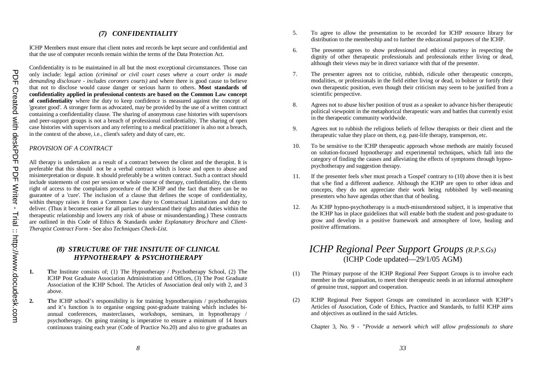## *(7) CONFIDENTIALITY*

ICHP Members must ensure that client notes and records be kept secure and confidential and that the use of computer records remain within the terms of the Data Protection Act.

Confidentiality is to be maintained in all but the most exceptional circumstances. Those can only include: legal action *(criminal or civil court cases where a court order is made demanding disclosure - includes coroners courts)* and where there is good cause to believe that not to disclose would cause danger or serious harm to others. **Most standards of confidentiality applied in professional contexts are based on the Common Law concept of confidentiality** where the duty to keep confidence is measured against the concept of 'greater good'. A stronger form as advocated, may be provided by the use of a written contract containing a confidentiality clause. The sharing of anonymous case histories with supervisors and peer-support groups is not a breach of professional confidentiality. The sharing of open case histories with supervisors and any referring to a medical practitioner is also not a breach, in the context of the above, i.e., client's safety and duty of care, etc.

## *PROVISION OF A CONTRACT*

All therapy is undertaken as a result of a contract between the client and the therapist. It is preferable that this should not be a verbal contract which is loose and open to abuse and misinterpretation or dispute. It should preferably be a written contract. Such a contract should include statements of cost per session or whole course of therapy, confidentiality, the clients right of access to the complaints procedure of the ICHP and the fact that there can be no guarantee of a 'cure'. The inclusion of a clause that defines the scope of confidentiality, within therapy raises it from a Common Law duty to Contractual Limitations and duty to deliver. (Thus it becomes easier for all parties to understand their rights and duties within the therapeutic relationship and lowers any risk of abuse or misunderstanding.) These contracts are outlined in this Code of Ethics & Standards under *Explanatory Brochure* and *Client-Therapist Contract Form -* See also *Techniques Check-List.* 

## *(8) STRUCTURE OF THE INSITUTE OF CLINICAL HYPNOTHERAPY & PSYCHOTHERAPY*

- **1. T**he Institute consists of; (1) The Hypnotherapy / Psychotherapy School, (2) The ICHP Post Graduate Association Administration and Offices, (3) The Post Graduate Association of the ICHP School. The Articles of Association deal only with 2, and 3 above.
- **2.** The ICHP school's responsibility is for training hypnotherapists / psychotherapists and it's function is to organise ongoing post-graduate training which includes biannual conferences, masterclasses, workshops, seminars, in hypnotherapy / psychotherapy. On going training is imperative to ensure a minimum of 14 hours continuous training each year (Code of Practice No.20) and also to give graduates an
- 5. To agree to allow the presentation to be recorded for ICHP resource library for distribution to the membership and to further the educational purposes of the ICHP.
- 6. The presenter agrees to show professional and ethical courtesy in respecting the dignity of other therapeutic professionals and professionals either living or dead, although their views may be in direct variance with that of the presenter.
- 7. The presenter agrees not to criticise, rubbish, ridicule other therapeutic concepts, modalities, or professionals in the field either living or dead, to bolster or fortify their own therapeutic position, even though their criticism may seem to be justified from a scientific perspective.
- 8. Agrees not to abuse his/her position of trust as a speaker to advance his/her therapeutic political viewpoint in the metaphorical therapeutic wars and battles that currently exist in the therapeutic community worldwide.
- 9. Agrees not to rubbish the religious beliefs of fellow therapists or their client and the therapeutic value they place on them, e.g. past-life therapy, transperson, etc.
- 10. To be sensitive to the ICHP therapeutic approach whose methods are mainly focused on solution-focused hypnotherapy and experimental techniques, which fall into the category of finding the causes and alleviating the effects of symptoms through hypnopsychotherapy and suggestion therapy.
- 11. If the presenter feels s/her must preach a 'Gospel' contrary to (10) above then it is best that s/he find a different audience. Although the ICHP are open to other ideas and concepts, they do not appreciate their work being rubbished by well-meaning presenters who have agendas other than that of healing.
- 12. As ICHP hypno-psychotherapy is a much-misunderstood subject, it is imperative that the ICHP has in place guidelines that will enable both the student and post-graduate to grow and develop in a positive framework and atmosphere of love, healing and positive affirmations.

## *ICHP Regional Peer Support Groups (R.P.S.Gs)*(ICHP Code updated—29/1/05 AGM)

- (1) The Primary purpose of the ICHP Regional Peer Support Groups is to involve each member in the organisation, to meet their therapeutic needs in an informal atmosphere of genuine trust, support and cooperation.
- (2) ICHP Regional Peer Support Groups are constituted in accordance with ICHP's Articles of Association, Code of Ethics, Practice and Standards, to fulfil ICHP aims and objectives as outlined in the said Articles.

Chapter 3, No. 9 - *"Provide a network which will allow professionals to share*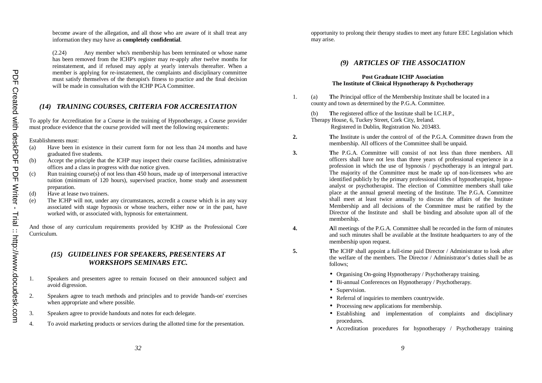become aware of the allegation, and all those who are aware of it shall treat any information they may have as **completely confidential**.

(2.24) Any member who's membership has been terminated or whose name has been removed from the ICHP's register may re-apply after twelve months for reinstatement, and if refused may apply at yearly intervals thereafter. When a member is applying for re-instatement, the complaints and disciplinary committee must satisfy themselves of the therapist's fitness to practice and the final decision will be made in consultation with the ICHP PGA Committee.

## *(14) TRAINING COURSES, CRITERIA FOR ACCRESITATION*

To apply for Accreditation for a Course in the training of Hypnotherapy, a Course provider must produce evidence that the course provided will meet the following requirements:

Establishments must:

- (a) Have been in existence in their current form for not less than 24 months and have graduated five students.
- (b) Accept the principle that the ICHP may inspect their course facilities, administrative offices and a class in progress with due notice given.
- (c) Run training course(s) of not less than 450 hours, made up of interpersonal interactive tuition (minimum of 120 hours), supervised practice, home study and assessment preparation.
- (d) Have at lease two trainers.
- (e) The ICHP will not, under any circumstances, accredit a course which is in any way associated with stage hypnosis or whose teachers, either now or in the past, have worked with, or associated with, hypnosis for entertainment.

And those of any curriculum requirements provided by ICHP as the Professional Core Curriculum.

## *(15) GUIDELINES FOR SPEAKERS, PRESENTERS AT WORKSHOPS SEMINARS ETC.*

- 1. Speakers and presenters agree to remain focused on their announced subject and avoid digression.
- 2. Speakers agree to teach methods and principles and to provide 'hands-on' exercises when appropriate and where possible.
- 3. Speakers agree to provide handouts and notes for each delegate.
- 4. To avoid marketing products or services during the allotted time for the presentation.

opportunity to prolong their therapy studies to meet any future EEC Legislation which may arise.

## *(9) ARTICLES OF THE ASSOCIATION*

#### **Post Graduate ICHP Association The Institute of Clinical Hypnotherapy & Psychotherapy**

- 1. (a) county and town as determined by the P.G.A. Committee. **T**he Principal office of the Membership Institute shall be located in a
	- (b) **T**he registered office of the Institute shall be I.C.H.P.,
- Therapy House, 6, Tuckey Street, Cork City, Ireland. Registered in Dublin, Registration No. 203483.
- **2. T**he Institute is under the control of of the P.G.A. Committee drawn from the membership. All officers of the Committee shall be unpaid.
- **3. T**he P.G.A. Committee will consist of not less than three members. All officers shall have not less than three years of professional experience in a profession in which the use of hypnosis / psychotherapy is an integral part. The majority of the Committee must be made up of non-licensees who are identified publicly by the primary professional titles of hypnotherapist, hypnoanalyst or psychotherapist. The election of Committee members shall take place at the annual general meeting of the Institute. The P.G.A. Committee shall meet at least twice annually to discuss the affairs of the Institute Membership and all decisions of the Committee must be ratified by the Director of the Institute and shall be binding and absolute upon all of the membership.
- **4. A**ll meetings of the P.G.A. Committee shall be recorded in the form of minutes and such minutes shall be available at the Institute headquarters to any of the membership upon request.
- **5. T**he ICHP shall appoint a full-time paid Director / Administrator to look after the welfare of the members. The Director / Administrator's duties shall be as follows;
	- Organising On-going Hypnotherapy / Psychotherapy training.
	- Bi-annual Conferences on Hypnotherapy / Psychotherapy.
	- Supervision.
	- Referral of inquiries to members countrywide.
	- Processing new applications for membership.
	- Establishing and implementation of complaints and disciplinary procedures.
	- Accreditation procedures for hypnotherapy / Psychotherapy training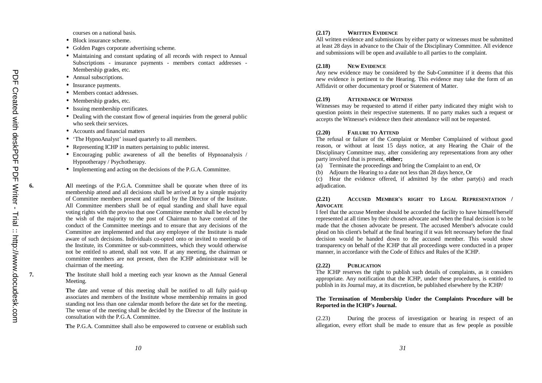courses on a national basis.

- Block insurance scheme.
- Golden Pages corporate advertising scheme.
- Maintaining and constant updating of all records with respect to Annual Subscriptions - insurance payments - members contact addresses - Membership grades, etc.
- Annual subscriptions.
- Insurance payments.
- Members contact addresses.
- Membership grades, etc.
- Issuing membership certificates.
- Dealing with the constant flow of general inquiries from the general public who seek their services.
- Accounts and financial matters
- The HypnoAnalyst' issued quarterly to all members.
- Representing ICHP in matters pertaining to public interest.
- Encouraging public awareness of all the benefits of Hypnoanalysis / Hypnotherapy / Psychotherapy.
- Implementing and acting on the decisions of the P.G.A. Committee.

**6. A**ll meetings of the P.G.A. Committee shall be quorate when three of its membership attend and all decisions shall be arrived at by a simple majority of Committee members present and ratified by the Director of the Institute. All Committee members shall be of equal standing and shall have equal voting rights with the proviso that one Committee member shall be elected by the wish of the majority to the post of Chairman to have control of the conduct of the Committee meetings and to ensure that any decisions of the Committee are implemented and that any employee of the Institute is made aware of such decisions. Individuals co-opted onto or invited to meetings of the Institute, its Committee or sub-committees, which they would otherwise not be entitled to attend, shall not vote. If at any meeting, the chairman or committee members are not present, then the ICHP administrator will be chairman of the meeting.

**7. T**he Institute shall hold a meeting each year known as the Annual General Meeting.

> **T**he date and venue of this meeting shall be notified to all fully paid-up associates and members of the Institute whose membership remains in good standing not less than one calendar month before the date set for the meeting. The venue of the meeting shall be decided by the Director of the Institute in consultation with the P.G.A. Committee.

> **T**he P.G.A. Committee shall also be empowered to convene or establish such

## **(2.17) WRITTEN EVIDENCE**

 All written evidence and submissions by either party or witnesses must be submitted at least 28 days in advance to the Chair of the Disciplinary Committee. All evidence and submissions will be open and available to all parties to the complaint.

#### **(2.18) NEW EVIDENCE**

 Any new evidence may be considered by the Sub-Committee if it deems that this new evidence is pertinent to the Hearing. This evidence may take the form of an Affidavit or other documentary proof or Statement of Matter.

## **(2.19) ATTENDANCE OF WITNESS**

Witnesses may be requested to attend if either party indicated they might wish to question points in their respective statements. If no party makes such a request or accepts the Witnesse's evidence then their attendance will not be requested.

## **(2.20) FAILURE TO ATTEND**

 The refusal or failure of the Complaint or Member Complained of without good reason, or without at least 15 days notice, at any Hearing the Chair of the Disciplinary Committee may, after considering any representations from any other party involved that is present, **either;**

(a) Terminate the proceedings and bring the Complaint to an end, Or

(b) Adjourn the Hearing to a date not less than 28 days hence, Or

 (c) Hear the evidence offered, if admitted by the other party(s) and reach adjudication.

#### **(2.21) ACCUSED MEMBER'S RIGHT TO LEGAL REPRESENTATION / ADVOCATE**

 I feel that the accuse Member should be accorded the facility to have himself/herself represented at all times by their chosen advocate and when the final decision is to be made that the chosen advocate be present. The accused Member's advocate could plead on his client's behalf at the final hearing if it was felt necessary before the final decision would be handed down to the accused member. This would show transparency on behalf of the ICHP that all proceedings were conducted in a proper manner, in accordance with the Code of Ethics and Rules of the ICHP.

#### **(2.22) PUBLICATION**

 The ICHP reserves the right to publish such details of complaints, as it considers appropriate. Any notification that the ICHP, under these procedures, is entitled to publish in its Journal may, at its discretion, be published elsewhere by the ICHP/

#### **The Termination of Membership Under the Complaints Procedure will be Reported in the ICHP's Journal.**

(2.23) During the process of investigation or hearing in respect of an allegation, every effort shall be made to ensure that as few people as possible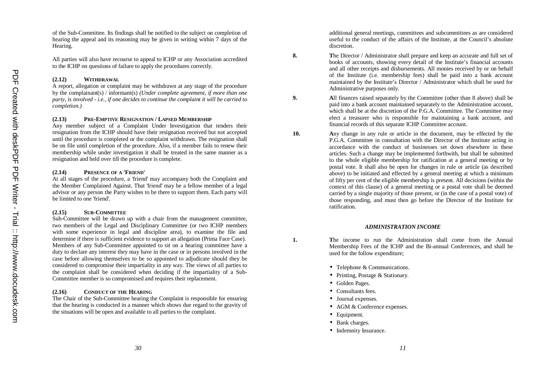of the Sub-Committee. Its findings shall be notified to the subject on completion of hearing the appeal and its reasoning may be given in writing within 7 days of the Hearing.

All parties will also have recourse to appeal to ICHP or any Association accredited to the ICHP on questions of failure to apply the procedures correctly.

#### **(2.12) WITHDRAWAL**

 A report, allegation or complaint may be withdrawn at any stage of the procedure by the complainant(s) / informant(s) *(Under complete agreement, if more than one party, is involved - i.e., if one decides to continue the complaint it will be carried to completion.)* 

#### **(2.13) PRE-EMPTIVE RESIGNATION / LAPSED MEMBERSHIP**

 Any member subject of a Complaint Under Investigation that tenders their resignation from the ICHP should have their resignation received but not accepted until the procedure is completed or the complaint withdrawn. The resignation shall be on file until completion of the procedure. Also, if a member fails to renew their membership while under investigation it shall be treated in the same manner as a resignation and held over till the procedure is complete.

## **(2.14) PRESENCE OF A 'FRIEND'**

 At all stages of the procedure, a 'friend' may accompany both the Complaint and the Member Complained Against. That 'friend' may be a fellow member of a legal advisor or any person the Party wishes to be there to support them. Each party will be limited to one 'friend'.

#### **(2.15) SUB-COMMITTEE**

 Sub-Committee will be drawn up with a chair from the management committee, two members of the Legal and Disciplinary Committee (or two ICHP members with some experience in legal and discipline area), to examine the file and determine if there is sufficient evidence to support an allegation (Prima Face Case). Members of any Sub-Committee appointed to sit on a hearing committee have a duty to declare any interest they may have in the case or in persons involved in the case before allowing themselves to be so appointed to adjudicate should they be considered to compromise their impartiality in any way. The views of all parties to the complaint shall be considered when deciding if the impartiality of a Sub-Committee member is so compromised and requires their replacement.

## **(2.16) CONDUCT OF THE HEARING**

 The Chair of the Sub-Committee hearing the Complaint is responsible for ensuring that the hearing is conducted in a manner which shows due regard to the gravity of the situations will be open and available to all parties to the complaint.

additional general meetings, committees and subcommittees as are considered useful to the conduct of the affairs of the Institute, at the Council's absolute discretion.

- **8. T**he Director / Administrator shall prepare and keep an accurate and full set of books of accounts, showing every detail of the Institute's financial accounts and all other receipts and disbursements. All monies received by or on behalf of the Institute (i.e. membership fees) shall be paid into a bank account maintained by the Institute's Director / Administrator which shall be used for Administrative purposes only.
- **9. A**ll finances raised separately by the Committee (other than 8 above) shall be paid into a bank account maintained separately to the Administration account, which shall be at the discretion of the P.G.A. Committee. The Committee may elect a treasurer who is responsible for maintaining a bank account, and financial records of this separate ICHP Committee account.
- **10. A**ny change in any rule or article in the document, may be effected by the P.G.A. Committee in consultation with the Director of the Institute acting in accordance with the conduct of businesses set down elsewhere in these articles. Such a change may be implemented forthwith, but shall be submitted to the whole eligible membership for ratification at a general meeting or by postal vote. It shall also be open for changes in rule or article (as described above) to be initiated and effected by a general meeting at which a minimum of fifty per cent of the eligible membership is present. All decisions (within the context of this clause) of a general meeting or a postal vote shall be deemed carried by a single majority of those present, or (in the case of a postal vote) of those responding, and must then go before the Director of the Institute for ratification.

#### *ADMINISTRATION INCOME*

- **1. T**he income to run the Administration shall come from the Annual Membership Fees of the ICHP and the Bi-annual Conferences, and shall be used for the follow expenditure;
	- Telephone & Communications.
	- Printing, Postage & Stationary.
	- Golden Pages.
	- Consultants fees.
	- Journal expenses.
	- AGM & Conference expenses.
	- Equipment.
	- Bank charges.
	- Indemnity Insurance.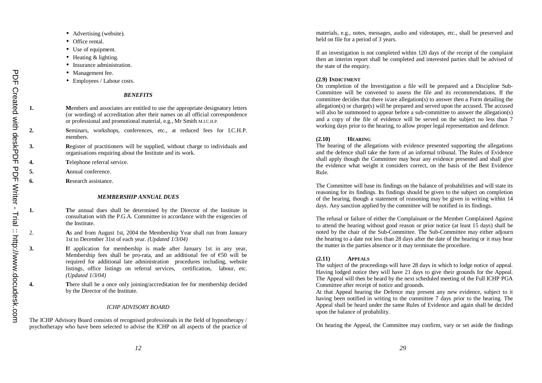2.

- Advertising (website).
- Office rental.
- Use of equipment.
- Heating & lighting.
- Insurance administration.
- Management fee.
- Employees / Labour costs.

#### *BENEFITS*

- **1. M**embers and associates are entitled to use the appropriate designatory letters (or wording) of accreditation after their names on all official correspondence or professional and promotional material, e.g., Mr Smith M.I.C.H.P.
- **2. S**eminars, workshops, conferences, etc., at reduced fees for I.C.H.P. members.
- **3.** Register of practitioners will be supplied, without charge to individuals and organisations enquiring about the Institute and its work.
- **4. T**elephone referral service.
- **5. A**nnual conference.
- **6. R**esearch assistance.

#### *MEMBERSHIP ANNUAL DUES*

- **1.** The annual dues shall be determined by the Director of the Institute in consultation with the P.G.A. Committee in accordance with the exigencies of the Institute.
	- **A**s and from August 1st, 2004 the Membership Year shall run from January 1st to December 31st of each year. *(Updated 1/3/04)*
- **3. I**f application for membership is made after January 1st in any year, Membership fees shall be pro-rata, and an additional fee of €50 will be required for additional late administration procedures including, website listings, office listings on referral services, certification, labour, etc. *(Updated 1/3/04)*
- **4.** There shall be a once only joining/accreditation fee for membership decided by the Director of the Institute.

#### *ICHP ADVISORY BOARD*

The ICHP Advisory Board consists of recognised professionals in the field of hypnotherapy / psychotherapy who have been selected to advise the ICHP on all aspects of the practice of

materials, e.g., notes, messages, audio and videotapes, etc., shall be preserved and held on file for a period of 3 years.

If an investigation is not completed within 120 days of the receipt of the complaint then an interim report shall be completed and interested parties shall be advised of the state of the enquiry.

#### **(2.9) INDICTMENT**

 On completion of the Investigation a file will be prepared and a Discipline Sub-Committee will be convened to assess the file and its recommendations. If the committee decides that there is/are allegation(s) to answer then a Form detailing the allegation(s) or charge(s) will be prepared and served upon the accused. The accused will also be summoned to appear before a sub-committee to answer the allegation(s) and a copy of the file of evidence will be served on the subject no less than 7 working days prior to the hearing, to allow proper legal representation and defence.

### **(2.10) HEARING**

 The hearing of the allegations with evidence presented supporting the allegations and the defence shall take the form of an informal tribunal. The Rules of Evidence shall apply though the Committee may hear any evidence presented and shall give the evidence what weight it considers correct, on the basis of the Best Evidence Rule.

The Committee will base its findings on the balance of probabilities and will state its reasoning for its findings. Its findings should be given to the subject on completion of the hearing, though a statement of reasoning may be given in writing within 14 days. Any sanction applied by the committee will be notified in its findings.

The refusal or failure of either the Complainant or the Member Complained Against to attend the hearing without good reason or prior notice (at least 15 days) shall be noted by the chair of the Sub-Committee. The Sub-Committee may either adjourn the hearing to a date not less than 28 days after the date of the hearing or it may hear the matter in the parties absence or it may terminate the procedure.

#### **(2.11) APPEALS**

 The subject of the proceedings will have 28 days in which to lodge notice of appeal. Having lodged notice they will have 21 days to give their grounds for the Appeal. The Appeal will then be heard by the next scheduled meeting of the Full ICHP PGA Committee after receipt of notice and grounds.

 At that Appeal hearing the Defence may present any new evidence, subject to it having been notified in writing to the committee 7 days prior to the hearing. The Appeal shall be heard under the same Rules of Evidence and again shall be decided upon the balance of probability.

On hearing the Appeal, the Committee may confirm, vary or set aside the findings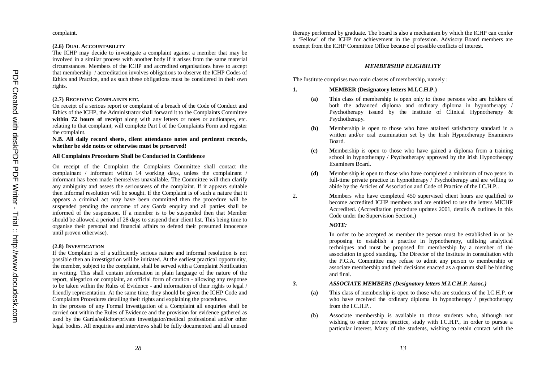complaint.

#### **(2.6) DUAL ACCOUNTABILITY**

 The ICHP may decide to investigate a complaint against a member that may be involved in a similar process with another body if it arises from the same material circumstances. Members of the ICHP and accredited organisations have to accept that membership / accreditation involves obligations to observe the ICHP Codes of Ethics and Practice, and as such these obligations must be considered in their own rights.

## **(2.7) RECEIVING COMPLAINTS ETC.**

On receipt of a serious report or complaint of a breach of the Code of Conduct and Ethics of the ICHP, the Administrator shall forward it to the Complaints Committee **within 72 hours of receipt** along with any letters or notes or audiotapes, etc. relating to that complaint, will complete Part I of the Complaints Form and register the complaint.

 **N.B. All daily record sheets, client attendance notes and pertinent records, whether be side notes or otherwise must be preserved!** 

## **All Complaints Procedures Shall be Conducted in Confidence**

On receipt of the Complaint the Complaints Committee shall contact the complainant / informant within 14 working days, unless the complainant / informant has been made themselves unavailable. The Committee will then clarify any ambiguity and assess the seriousness of the complaint. If it appears suitable then informal resolution will be sought. If the Complaint is of such a nature that it appears a criminal act may have been committed then the procedure will be suspended pending the outcome of any Garda enquiry and all parties shall be informed of the suspension. If a member is to be suspended then that Member should be allowed a period of 28 days to suspend their client list. This being time to organise their personal and financial affairs to defend their presumed innocence until proven otherwise).

## **(2.8) INVESTIGATION**

 If the Complaint is of a sufficiently serious nature and informal resolution is not possible then an investigation will be initiated. At the earliest practical opportunity, the member, subject to the complaint, shall be served with a Complaint Notification in writing. This shall contain information in plain language of the nature of the report, allegation or complaint, an official form of caution - allowing any response to be taken within the Rules of Evidence - and information of their rights to legal / friendly representation. At the same time, they should be given the ICHP Code and Complaints Procedures detailing their rights and explaining the procedures.

 In the process of any Formal Investigation of a Complaint all enquiries shall be carried out within the Rules of Evidence and the provision for evidence gathered as used by the Garda/solicitor/private investigator/medical professional and/or other legal bodies. All enquiries and interviews shall be fully documented and all unused therapy performed by graduate. The board is also a mechanism by which the ICHP can confer a 'Fellow' of the ICHP for achievement in the profession. Advisory Board members are exempt from the ICHP Committee Office because of possible conflicts of interest.

## *MEMBERSHIP ELIGIBILITY*

**T**he Institute comprises two main classes of membership, namely :

**1. MEMBER (Designatory letters M.I.C.H.P.)** 

- **(a) T**his class of membership is open only to those persons who are holders of both the advanced diploma and ordinary diploma in hypnotherapy / Psychotherapy issued by the Institute of Clinical Hypnotherapy & Psychotherapy.
- **(b) M**embership is open to those who have attained satisfactory standard in a written and/or oral examination set by the Irish Hypnotherapy Examiners Board.
- **(c) M**embership is open to those who have gained a diploma from a training school in hypnotherapy / Psychotherapy approved by the Irish Hypnotherapy Examiners Board.
- **(d) M**embership is open to those who have completed a minimum of two years in full-time private practice in hypnotherapy / Psychotherapy and are willing to abide by the Articles of Association and Code of Practice of the I.C.H.P..
- **M**embers who have completed 450 supervised client hours are qualified to become accredited ICHP members and are entitled to use the letters MICHP Accredited. (Accreditation procedure updates 2001, details & outlines in this Code under the Supervision Section.)

## *NOTE:*

2.

**I**n order to be accepted as member the person must be established in or be proposing to establish a practice in hypnotherapy, utilising analytical techniques and must be proposed for membership by a member of the association in good standing. The Director of the Institute in consultation with the P.G.A. Committee may refuse to admit any person to membership or associate membership and their decisions enacted as a quorum shall be binding and final.

## *3. ASSOCIATE MEMBERS (Designatory letters M.I.C.H.P. Assoc.)*

- **(a) T**his class of membership is open to those who are students of the I.C.H.P. or who have received the ordinary diploma in hypnotherapy / psychotherapy from the I.C.H.P..
- (b) **A**ssociate membership is available to those students who, although not wishing to enter private practice, study with I.C.H.P., in order to pursue a particular interest. Many of the students, wishing to retain contact with the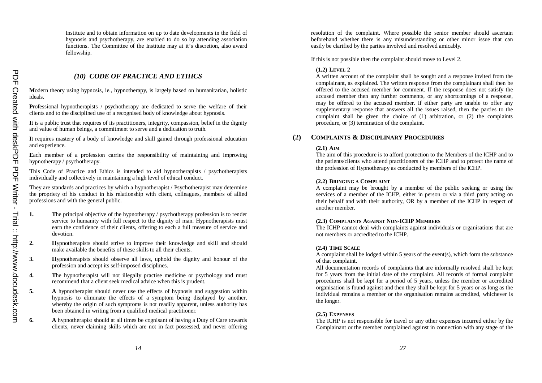PDF

Institute and to obtain information on up to date developments in the field of hypnosis and psychotherapy, are enabled to do so by attending association functions. The Committee of the Institute may at it's discretion, also award fellowship.

## *(10) CODE OF PRACTICE AND ETHICS*

**M**odern theory using hypnosis, ie., hypnotherapy, is largely based on humanitarian, holistic ideals.

**P**rofessional hypnotherapists / psychotherapy are dedicated to serve the welfare of their clients and to the disciplined use of a recognised body of knowledge about hypnosis.

**I**t is a public trust that requires of its practitioners, integrity, compassion, belief in the dignity and value of human beings, a commitment to serve and a dedication to truth.

**I**t requires mastery of a body of knowledge and skill gained through professional education and experience.

**E**ach member of a profession carries the responsibility of maintaining and improving hypnotherapy / psychotherapy.

**T**his Code of Practice and Ethics is intended to aid hypnotherapists / psychotherapists individually and collectively in maintaining a high level of ethical conduct.

They are standards and practices by which a hypnotherapist / Psychotherapist may determine the propriety of his conduct in his relationship with client, colleagues, members of allied professions and with the general public.

- **1.** The principal objective of the hypnotherapy / psychotherapy profession is to render service to humanity with full respect to the dignity of man. Hypnotherapists must earn the confidence of their clients, offering to each a full measure of service and devotion.
- **2. H**ypnotherapists should strive to improve their knowledge and skill and should make available the benefits of these skills to all their clients.
- **3. H**ypnotherapists should observe all laws, uphold the dignity and honour of the profession and accept its self-imposed disciplines.
- **4. T**he hypnotherapist will not illegally practise medicine or psychology and must recommend that a client seek medical advice when this is prudent.
- **5. A** hypnotherapist should never use the effects of hypnosis and suggestion within hypnosis to eliminate the effects of a symptom being displayed by another, whereby the origin of such symptoms is not readily apparent, unless authority has been obtained in writing from a qualified medical practitioner.
- **6. A** hypnotherapist should at all times be cognisant of having a Duty of Care towards clients, never claiming skills which are not in fact possessed, and never offering

 resolution of the complaint. Where possible the senior member should ascertain beforehand whether there is any misunderstanding or other minor issue that can easily be clarified by the parties involved and resolved amicably.

If this is not possible then the complaint should move to Level 2.

#### **(1.2) LEVEL 2**

 A written account of the complaint shall be sought and a response invited from the complainant, as explained. The written response from the complainant shall then be offered to the accused member for comment. If the response does not satisfy the accused member then any further comments, or any shortcomings of a response, may be offered to the accused member. If either party are unable to offer any supplementary response that answers all the issues raised, then the parties to the complaint shall be given the choice of (1) arbitration, or (2) the complaints procedure, or (3) termination of the complaint.

## **(2) COMPLAINTS & DISCIPLINARY PROCEDURES**

#### **(2.1) AIM**

 The aim of this procedure is to afford protection to the Members of the ICHP and to the patients/clients who attend practitioners of the ICHP and to protect the name of the profession of Hypnotherapy as conducted by members of the ICHP.

#### **(2.2) BRINGINGA COMPLAINT**

 A complaint may be brought by a member of the public seeking or using the services of a member of the ICHP, either in person or via a third party acting on their behalf and with their authority, OR by a member of the ICHP in respect of another member.

#### **(2.3) COMPLAINTS AGAINST NON-ICHP MEMBERS**

 The ICHP cannot deal with complaints against individuals or organisations that are not members or accredited to the ICHP.

#### **(2.4) TIME SCALE**

 A complaint shall be lodged within 5 years of the event(s), which form the substance of that complaint.

 All documentation records of complaints that are informally resolved shall be kept for 5 years from the initial date of the complaint. All records of formal complaint procedures shall be kept for a period of 5 years, unless the member or accredited organisation is found against and then they shall be kept for 5 years or as long as the individual remains a member or the organisation remains accredited, whichever is the longer.

## **(2.5) EXPENSES**

 The ICHP is not responsible for travel or any other expenses incurred either by the Complainant or the member complained against in connection with any stage of the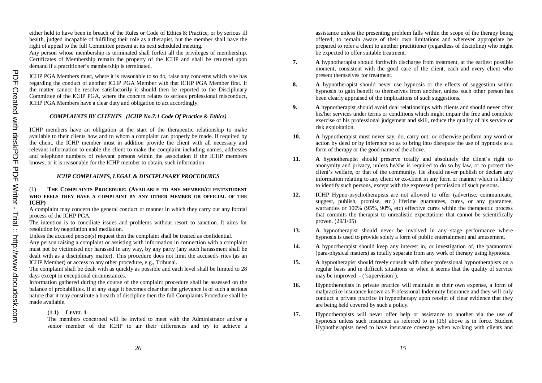either held to have been in breach of the Rules or Code of Ethics & Practice, or by serious ill health, judged incapable of fulfilling their role as a therapist, but the member shall have the right of appeal to the full Committee present at its next scheduled meeting.

 Any person whose membership is terminated shall forfeit all the privileges of membership. Certificates of Membership remain the property of the ICHP and shall be returned upon demand if a practitioner's membership is terminated.

ICHP PGA Members must, where it is reasonable to so do, raise any concerns which s/he has regarding the conduct of another ICHP PGA Member with that ICHP PGA Member first. If the matter cannot be resolve satisfactorily it should then be reported to the Disciplinary Committee of the ICHP PGA, where the concern relates to serious professional misconduct, ICHP PGA Members have a clear duty and obligation to act accordingly.

## *COMPLAINTS BY CLIENTS (ICHP No.7:1 Code Of Practice & Ethics)*

**I**CHP members have an obligation at the start of the therapeutic relationship to make available to their clients how and to whom a complaint can properly be made. If required by the client, the ICHP member must in addition provide the client with all necessary and relevant information to enable the client to make the complaint including names, addresses and telephone numbers of relevant persons within the association if the ICHP members knows, or it is reasonable for the ICHP member to obtain, such information.

## *ICHP COMPLAINTS, LEGAL & DISCIPLINARY PROCEDURES*

#### (1) **WHO FEELS THEY HAVE A COMPLAINT BY ANY OTHER MEMBER OR OFFICIAL OF THE THE COMPLAINTS PROCEDURE: (AVAILABLE TO ANY MEMBER/CLIENT/STUDENT ICHP)**

 A complaint may concern the general conduct or manner in which they carry out any formal process of the ICHP PGA.

 The intention is to conciliate issues and problems without resort to sanction. It aims for resolution by negotiation and mediation.

Unless the accused person(s) request then the complaint shall be treated as confidential.

 Any person raising a complaint or assisting with information in connection with a complaint must not be victimised nor harassed in any way, by any party (any such harassment shall be dealt with as a disciplinary matter). This procedure does not limit the accused's rites (as an ICHP Member) or access to any other procedure, e.g., Tribunal.

 The complaint shall be dealt with as quickly as possible and each level shall be limited to 28 days except in exceptional circumstances.

 Information gathered during the course of the complaint procedure shall be assessed on the balance of probabilities. If at any stage it becomes clear that the grievance is of such a serious nature that it may constitute a breach of discipline then the full Complaints Procedure shall be made available.

## **(1.1) LEVEL 1**

 The members concerned will be invited to meet with the Administrator and/or a senior member of the ICHP to air their differences and try to achieve a assistance unless the presenting problem falls within the scope of the therapy being offered, to remain aware of their own limitations and wherever appropriate be prepared to refer a client to another practitioner (regardless of discipline) who might be expected to offer suitable treatment.

- **7. A** hypnotherapist should forthwith discharge from treatment, at the earliest possible moment, consistent with the good care of the client, each and every client who present themselves for treatment.
- **8. A** hypnotherapist should never use hypnosis or the effects of suggestion within hypnosis to gain benefit to themselves from another, unless such other person has been clearly appraised of the implications of such suggestions.
- **9. A** hypnotherapist should avoid dual relationships with clients and should never offer his/her services under terms or conditions which might impair the free and complete exercise of his professional judgement and skill, reduce the quality of his service or risk exploitation.
- **10. A** hypnotherapist must never say, do, carry out, or otherwise perform any word or action by deed or by inference so as to bring into disrepute the use of hypnosis as a form of therapy or the good name of the above.
- **11. A** hypnotherapist should preserve totally and absolutely the client's right to anonymity and privacy, unless he/she is required to do so by law, or to protect the client's welfare, or that of the community. He should never publish or declare any information relating to any client or ex-client in any form or manner which is likely to identify such persons, except with the expressed permission of such persons.
- **12. I**CHP Hypno-psychotherapists are not allowed to offer (advertise, communicate, suggest, publish, promise, etc.) lifetime guarantees, cures, or any guarantee, warranties or 100% (95%, 90%, etc) effective cures within the therapeutic process that commits the therapist to unrealistic expectations that cannot be scientifically proven. (29/1/05)
- **13. A** hypnotherapist should never be involved in any stage performance where hypnosis is used to provide solely a form of public entertainment and amusement.
- **14. A** hypnotherapist should keep any interest in, or investigation of, the paranormal (para-physical matters) as totally separate from any work of therapy using hypnosis.
- **15. A** hypnotherapist should freely consult with other professional hypnotherapists on a regular basis and in difficult situations or when it seems that the quality of service may be improved - ('supervision').
- **16. H**ypnotherapists in private practice will maintain at their own expense, a form of malpractice insurance known as Professional Indemnity Insurance and they will only conduct a private practice in hypnotherapy upon receipt of clear evidence that they are being held covered by such a policy.
- **17. H**ypnotherapists will never offer help or assistance to another via the use of hypnosis unless such insurance as referred to in (16) above is in force. Student Hypnotherapists need to have insurance coverage when working with clients and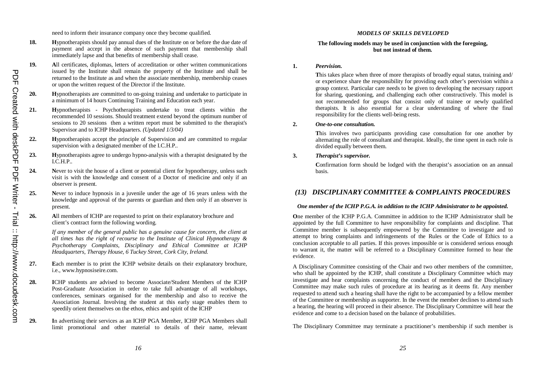need to inform their insurance company once they become qualified.

- **18. H**ypnotherapists should pay annual dues of the Institute on or before the due date of payment and accept in the absence of such payment that membership shall immediately lapse and that benefits of membership shall cease.
- **19. A**ll certificates, diplomas, letters of accreditation or other written communications issued by the Institute shall remain the property of the Institute and shall be returned to the Institute as and when the associate membership, membership ceases or upon the written request of the Director if the Institute.
- **20. H**ypnotherapists are committed to on-going training and undertake to participate in a minimum of 14 hours Continuing Training and Education each year.
- **21. H**ypnotherapists Psychotherapists undertake to treat clients within the recommended 10 sessions. Should treatment extend beyond the optimum number of sessions to 20 sessions then a written report must be submitted to the therapist's Supervisor and to ICHP Headquarters. *(Updated 1/3/04)*
- **22. H**ypnotherapists accept the principle of Supervision and are committed to regular supervision with a designated member of the I.C.H.P..
- **23. H**ypnotherapists agree to undergo hypno-analysis with a therapist designated by the I.C.H.P..
- **24.** Never to visit the house of a client or potential client for hypnotherapy, unless such visit is with the knowledge and consent of a Doctor of medicine and only if an observer is present.
- **25. N**ever to induce hypnosis in a juvenile under the age of 16 years unless with the knowledge and approval of the parents or guardian and then only if an observer is present.
- **26. A**ll members of ICHP are requested to print on their explanatory brochure and client's contract form the following wording.

If any member of the general public has a genuine cause for concern, the client at *all times has the right of recourse to the Institute of Clinical Hypnotherapy & Psychotherapy Complaints, Disciplinary and Ethical Committee at ICHP Headquarters, Therapy House, 6 Tuckey Street, Cork City, Ireland.*

- **27. E**ach member is to print the ICHP website details on their explanatory brochure, i.e., www.hypnosiseire.com.
- **28. I**CHP students are advised to become Associate/Student Members of the ICHP Post-Graduate Association in order to take full advantage of all workshops, conferences, seminars organised for the membership and also to receive the Association Journal. Involving the student at this early stage enables them to speedily orient themselves on the ethos, ethics and spirit of the ICHP
- **29. I**n advertising their services as an ICHP PGA Member, ICHP PGA Members shall limit promotional and other material to details of their name, relevant

## *MODELS OF SKILLS DEVELOPED*

#### **The following models may be used in conjunction with the foregoing, but not instead of them.**

## **1.** *Peervision.*

**T**his takes place when three of more therapists of broadly equal status, training and/ or experience share the responsibility for providing each other's peervision within a group context. Particular care needs to be given to developing the necessary rapport for sharing, questioning, and challenging each other constructively. This model is not recommended for groups that consist only of trainee or newly qualified therapists. It is also essential for a clear understanding of where the final responsibility for the clients well-being rests.

### **2.** *One-to-one consultation.*

**T**his involves two participants providing case consultation for one another by alternating the role of consultant and therapist. Ideally, the time spent in each role is divided equally between them.

## **3.** *Therapist's supervisor.*

Confirmation form should be lodged with the therapist's association on an annual basis.

## *(13) DISCIPLINARY COMMITTEE & COMPLAINTS PROCEDURES*

#### *One member of the ICHP P.G.A. in addition to the ICHP Administrator to be appointed.*

**O**ne member of the ICHP P.G.A. Committee in addition to the ICHP Administrator shall be appointed by the full Committee to have responsibility for complaints and discipline. That Committee member is subsequently empowered by the Committee to investigate and to attempt to bring complaints and infringements of the Rules or the Code of Ethics to a conclusion acceptable to all parties. If this proves impossible or is considered serious enough to warrant it, the matter will be referred to a Disciplinary Committee formed to hear the evidence.

A Disciplinary Committee consisting of the Chair and two other members of the committee, who shall be appointed by the ICHP, shall constitute a Disciplinary Committee which may investigate and hear complaints concerning the conduct of members and the Disciplinary Committee may make such rules of procedure at its hearing as it deems fit. Any member requested to attend such a hearing shall have the right to be accompanied by a fellow member of the Committee or membership as supporter. In the event the member declines to attend such a hearing, the hearing will proceed in their absence. The Disciplinary Committee will hear the evidence and come to a decision based on the balance of probabilities.

The Disciplinary Committee may terminate a practitioner's membership if such member is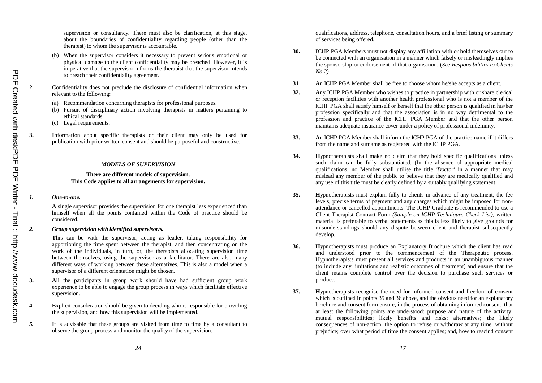supervision or consultancy. There must also be clarification, at this stage, about the boundaries of confidentiality regarding people (other than the therapist) to whom the supervisor is accountable.

- (b) When the supervisor considers it necessary to prevent serious emotional or physical damage to the client confidentiality may be breached. However, it is imperative that the supervisor informs the therapist that the supervisor intends to breach their confidentiality agreement.
- **2.** Confidentiality does not preclude the disclosure of confidential information when relevant to the following:
	- (a) Recommendation concerning therapists for professional purposes.
	- (b) Pursuit of disciplinary action involving therapists in matters pertaining to ethical standards.
	- (c) Legal requirements.
- **3. I**nformation about specific therapists or their client may only be used for publication with prior written consent and should be purposeful and constructive.

#### *MODELS OF SUPERVISION*

#### **There are different models of supervision. This Code applies to all arrangements for supervision.**

#### *1. One-to-one.*

**A** single supervisor provides the supervision for one therapist less experienced than himself when all the points contained within the Code of practice should be considered.

#### *2. Group supervision with identified supervisor/s.*

**T**his can be with the supervisor, acting as leader, taking responsibility for apportioning the time spent between the therapist, and then concentrating on the work of the individuals, in turn, or, the therapists allocating supervision time between themselves, using the supervisor as a facilitator. There are also many different ways of working between these alternatives. This is also a model when a supervisor of a different orientation might be chosen.

- **3. A**ll the participants in group work should have had sufficient group work experience to be able to engage the group process in ways which facilitate effective supervision.
- **4. E**xplicit consideration should be given to deciding who is responsible for providing the supervision, and how this supervision will be implemented.
- *5.* **I**t is advisable that these groups are visited from time to time by a consultant to observe the group process and monitor the quality of the supervision.

qualifications, address, telephone, consultation hours, and a brief listing or summary of services being offered.

- **30. I**CHP PGA Members must not display any affiliation with or hold themselves out to be connected with an organisation in a manner which falsely or misleadingly implies the sponsorship or endorsement of that organisation. (*See Responsibilities to Clients No.2)*
- **31** An ICHP PGA Member shall be free to choose whom he/she accepts as a client.
- **32. A**ny ICHP PGA Member who wishes to practice in partnership with or share clerical or reception facilities with another health professional who is not a member of the ICHP PGA shall satisfy himself or herself that the other person is qualified in his/her profession specifically and that the association is in no way detrimental to the profession and practice of the ICHP PGA Member and that the other person maintains adequate insurance cover under a policy of professional indemnity.
- **33. A**n ICHP PGA Member shall inform the ICHP PGA of the practice name if it differs from the name and surname as registered with the ICHP PGA.
- **34.** Hypnotherapists shall make no claim that they hold specific qualifications unless such claim can be fully substantiated. (In the absence of appropriate medical qualifications, no Member shall utilise the title *'Doctor'* in a manner that may mislead any member of the public to believe that they are medically qualified and any use of this title must be clearly defined by a suitably qualifying statement.
- **35. H**ypnotherapists must explain fully to clients in advance of any treatment, the fee levels, precise terms of payment and any charges which might be imposed for nonattendance or cancelled appointments. The ICHP Graduate is recommended to use a Client-Therapist Contract Form *(Sample on ICHP Techniques Check List),* written material is preferable to verbal statements as this is less likely to give grounds for misunderstandings should any dispute between client and therapist subsequently develop.
- **36. H**ypnotherapists must produce an Explanatory Brochure which the client has read and understood prior to the commencement of the Therapeutic process. Hypnotherapists must present all services and products in an unambiguous manner (to include any limitations and realistic outcomes of treatment) and ensure that the client retains complete control over the decision to purchase such services or products.
- **37. H**ypnotherapists recognise the need for informed consent and freedom of consent which is outlined in points 35 and 36 above, and the obvious need for an explanatory brochure and consent form ensure, in the process of obtaining informed consent, that at least the following points are understood: purpose and nature of the activity; mutual responsibilities; likely benefits and risks; alternatives; the likely consequences of non-action; the option to refuse or withdraw at any time, without prejudice; over what period of time the consent applies; and, how to rescind consent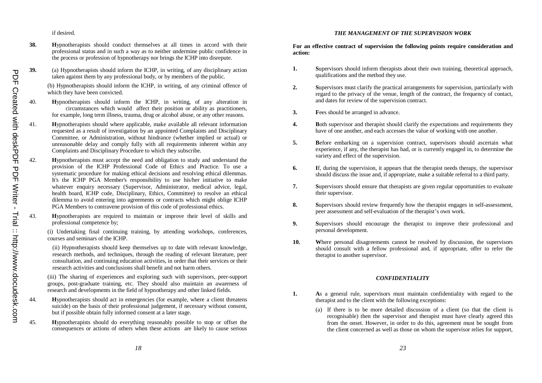## *THE MANAGEMENT OF THE SUPERVISION WORK*

if desired.

40.

- **38. H**ypnotherapists should conduct themselves at all times in accord with their professional status and in such a way as to neither undermine public confidence in the process or profession of hypnotherapy nor brings the ICHP into disrepute.
- **39.** (a) Hypnotherapists should inform the ICHP, in writing, of any disciplinary action taken against them by any professional body, or by members of the public.

 (b) Hypnotherapists should inform the ICHP, in writing, of any criminal offence of which they have been convicted.

- **H**ypnotherapists should inform the ICHP, in writing, of any alteration in circumstances which would affect their position or ability as practitioners, for example, long term illness, trauma, drug or alcohol abuse, or any other reasons.
- 41. **H**ypnotherapists should where applicable, make available all relevant information requested as a result of investigation by an appointed Complaints and Disciplinary Committee, or Administration, without hindrance (whether implied or actual) or unreasonable delay and comply fully with all requirements inherent within any Complaints and Disciplinary Procedure to which they subscribe.
- 42. **H**ypnotherapists must accept the need and obligation to study and understand the provision of the ICHP Professional Code of Ethics and Practice. To use a systematic procedure for making ethical decisions and resolving ethical dilemmas. It's the ICHP PGA Member's responsibility to use his/her initiative to make whatever enquiry necessary (Supervisor, Administrator, medical advice, legal, health board, ICHP code, Disciplinary, Ethics, Committee) to resolve an ethical dilemma to avoid entering into agreements or contracts which might oblige ICHP PGA Members to contravene provision of this code of professional ethics.
- 43. **H**ypnotherapists are required to maintain or improve their level of skills and professional competence by;

 (i) Undertaking final continuing training, by attending workshops, conferences, courses and seminars of the ICHP.

(ii) Hypnotherapists should keep themselves up to date with relevant knowledge, research methods, and techniques, through the reading of relevant literature, peer consultation, and continuing education activities, in order that their services or their research activities and conclusions shall benefit and not harm others.

 (iii) The sharing of experiences and exploring such with supervisors, peer-support groups, post-graduate training, etc. They should also maintain an awareness of research and developments in the field of hypnotherapy and other linked fields.

- **H**ypnotherapists should act in emergencies (for example, where a client threatens suicide) on the basis of their professional judgement, if necessary without consent, but if possible obtain fully informed consent at a later stage.
- 45. **H**ypnotherapists should do everything reasonably possible to stop or offset the consequences or actions of others when these actions are likely to cause serious

**For an effective contract of supervision the following points require consideration and action:**

- **1. S**upervisors should inform therapists about their own training, theoretical approach, qualifications and the method they use.
- **2. S**upervisors must clarify the practical arrangements for supervision, particularly with regard to the privacy of the venue, length of the contract, the frequency of contact, and dates for review of the supervision contract.
- **3. Fees should be arranged in advance.**
- **4.** Both supervisor and therapist should clarify the expectations and requirements they have of one another, and each accesses the value of working with one another.
- **5. B**efore embarking on a supervision contract, supervisors should ascertain what experience, if any, the therapist has had, or is currently engaged in, to determine the variety and effect of the supervision.
- **6. I**f, during the supervision, it appears that the therapist needs therapy, the supervisor should discuss the issue and, if appropriate, make a suitable referral to a third party.
- **7. S**upervisors should ensure that therapists are given regular opportunities to evaluate their supervisor.
- **8. S**upervisors should review frequently how the therapist engages in self-assessment, peer assessment and self-evaluation of the therapist's own work.
- **9. S**upervisors should encourage the therapist to improve their professional and personal development.
- **10. W**here personal disagreements cannot be resolved by discussion, the supervisors should consult with a fellow professional and, if appropriate, offer to refer the therapist to another supervisor.

## *CONFIDENTIALITY*

- **1. A**s a general rule, supervisors must maintain confidentiality with regard to the therapist and to the client with the following exceptions:
	- (a) If there is to be more detailed discussion of a client (so that the client is recognisable) then the supervisor and therapist must have clearly agreed this from the onset. However, in order to do this, agreement must be sought from the client concerned as well as those on whom the supervisor relies for support,

44.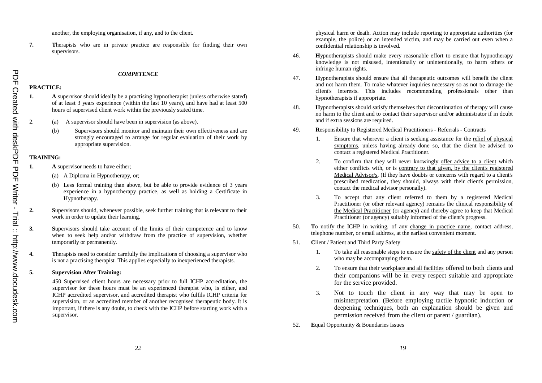another, the employing organisation, if any, and to the client.

**7. T**herapists who are in private practice are responsible for finding their own supervisors.

#### *COMPETENCE*

## **PRACTICE:**

- **1. A** supervisor should ideally be a practising hypnotherapist (unless otherwise stated) of at least 3 years experience (within the last 10 years), and have had at least 500 hours of supervised client work within the previously stated time.
- 2. (a) A supervisor should have been in supervision (as above).
	- (b) Supervisors should monitor and maintain their own effectiveness and are strongly encouraged to arrange for regular evaluation of their work by appropriate supervision.

## **TRAINING:**

- **1. A** supervisor needs to have either;
	- (a) A Diploma in Hypnotherapy, or;
	- (b) Less formal training than above, but be able to provide evidence of 3 years experience in a hypnotherapy practice, as well as holding a Certificate in Hypnotherapy.
- **2. S**upervisors should, whenever possible, seek further training that is relevant to their work in order to update their learning.
- **3. S**upervisors should take account of the limits of their competence and to know when to seek help and/or withdraw from the practice of supervision, whether temporarily or permanently.
- **4. T**herapists need to consider carefully the implications of choosing a supervisor who is not a practising therapist. This applies especially to inexperienced therapists.

## **5. Supervision After Training:**

450 Supervised client hours are necessary prior to full ICHP accreditation, the supervisor for these hours must be an experienced therapist who, is either, and ICHP accredited supervisor, and accredited therapist who fulfils ICHP criteria for supervision, or an accredited member of another recognised therapeutic body. It is important, if there is any doubt, to check with the ICHP before starting work with a supervisor.

physical harm or death. Action may include reporting to appropriate authorities (for example, the police) or an intended victim, and may be carried out even when a confidential relationship is involved.

- 46. **H**ypnotherapists should make every reasonable effort to ensure that hypnotherapy knowledge is not misused, intentionally or unintentionally, to harm others or infringe human rights.
- 47. **H**ypnotherapists should ensure that all therapeutic outcomes will benefit the client and not harm them. To make whatever inquiries necessary so as not to damage the client's interests. This includes recommending professionals other than hypnotherapists if appropriate.
- 48. **H**ypnotherapists should satisfy themselves that discontinuation of therapy will cause no harm to the client and to contact their supervisor and/or administrator if in doubt and if extra sessions are required.
- 49. **R**esponsibility to Registered Medical Practitioners - Referrals - Contracts
	- 1. Ensure that wherever a client is seeking assistance for the relief of physical symptoms, unless having already done so, that the client be advised tocontact a registered Medical Practitioner.
	- 2. To confirm that they will never knowingly offer advice to a client which either conflicts with, or is contrary to that given, by the client's registered Medical Advisor/s. (If they have doubts or concerns with regard to a client's prescribed medication, they should, always with their client's permission, contact the medical advisor personally).
	- 3. To accept that any client referred to them by a registered Medical Practitioner (or other relevant agency) remains the clinical responsibility of the Medical Practitioner (or agency) and thereby agree to keep that Medical Practitioner (or agency) suitably informed of the client's progress.
- 50. **T**o notify the ICHP in writing, of any change in practice name, contact address, telephone number, or email address, at the earliest convenient moment.
- 51. **C**lient / Patient and Third Party Safety
	- 1. To take all reasonable steps to ensure the safety of the client and any person who may be accompanying them.
	- 2. To ensure that their workplace and all facilities offered to both clients and their companions will be in every respect suitable and appropriate for the service provided.
	- 3. Not to touch the client in any way that may be open to misinterpretation. (Before employing tactile hypnotic induction or deepening techniques, both an explanation should be given and permission received from the client or parent / guardian).
- 52. **E**qual Opportunity & Boundaries Issues